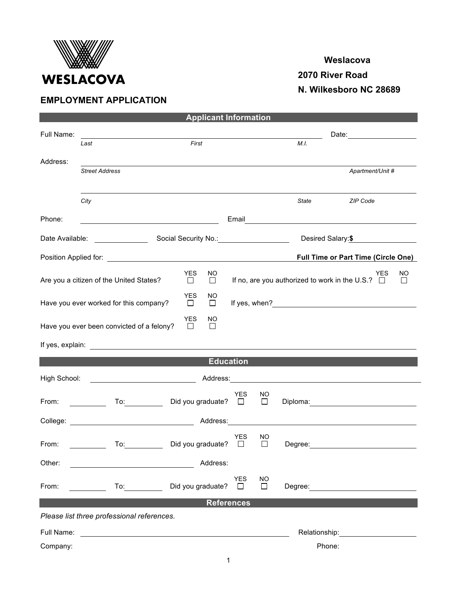

## **EMPLOYMENT APPLICATION**

## **Weslacova**

 **2070 River Road**

 **N. Wilkesboro NC 28689**

| <b>Applicant Information</b>                                                                                                                            |                                                         |                         |               |                                     |              |                                                       |                                                                                                                                                                                                                                |    |  |  |  |
|---------------------------------------------------------------------------------------------------------------------------------------------------------|---------------------------------------------------------|-------------------------|---------------|-------------------------------------|--------------|-------------------------------------------------------|--------------------------------------------------------------------------------------------------------------------------------------------------------------------------------------------------------------------------------|----|--|--|--|
| Full Name:                                                                                                                                              |                                                         |                         |               | Date: <u>______________________</u> |              |                                                       |                                                                                                                                                                                                                                |    |  |  |  |
|                                                                                                                                                         | Last                                                    |                         | First         |                                     |              | M.L.                                                  |                                                                                                                                                                                                                                |    |  |  |  |
| Address:                                                                                                                                                |                                                         |                         |               |                                     |              |                                                       |                                                                                                                                                                                                                                |    |  |  |  |
|                                                                                                                                                         | <b>Street Address</b>                                   |                         |               |                                     |              |                                                       | Apartment/Unit #                                                                                                                                                                                                               |    |  |  |  |
|                                                                                                                                                         |                                                         |                         |               |                                     |              |                                                       |                                                                                                                                                                                                                                |    |  |  |  |
|                                                                                                                                                         | City                                                    |                         |               |                                     |              | State                                                 | ZIP Code                                                                                                                                                                                                                       |    |  |  |  |
|                                                                                                                                                         |                                                         |                         |               |                                     |              |                                                       |                                                                                                                                                                                                                                |    |  |  |  |
| Phone:                                                                                                                                                  | <u> 1980 - Johann Barbara, martin amerikan basar da</u> |                         |               |                                     |              |                                                       |                                                                                                                                                                                                                                |    |  |  |  |
|                                                                                                                                                         |                                                         |                         |               |                                     |              |                                                       | Desired Salary:\$                                                                                                                                                                                                              |    |  |  |  |
| <b>Full Time or Part Time (Circle One)</b>                                                                                                              |                                                         |                         |               |                                     |              |                                                       |                                                                                                                                                                                                                                |    |  |  |  |
|                                                                                                                                                         |                                                         | <b>YES</b>              | NO.           |                                     |              |                                                       | <b>YES</b>                                                                                                                                                                                                                     | NO |  |  |  |
|                                                                                                                                                         | Are you a citizen of the United States?                 | □                       |               |                                     |              | If no, are you authorized to work in the U.S.? $\Box$ | $\Box$                                                                                                                                                                                                                         |    |  |  |  |
|                                                                                                                                                         |                                                         | <b>YES</b>              | NO.           |                                     |              |                                                       |                                                                                                                                                                                                                                |    |  |  |  |
|                                                                                                                                                         | Have you ever worked for this company?                  | $\Box$                  | $\Box$        |                                     |              |                                                       |                                                                                                                                                                                                                                |    |  |  |  |
|                                                                                                                                                         | Have you ever been convicted of a felony?               | <b>YES</b><br>$\Box$    | NO.<br>$\Box$ |                                     |              |                                                       |                                                                                                                                                                                                                                |    |  |  |  |
|                                                                                                                                                         |                                                         |                         |               |                                     |              |                                                       |                                                                                                                                                                                                                                |    |  |  |  |
|                                                                                                                                                         |                                                         |                         |               |                                     |              |                                                       |                                                                                                                                                                                                                                |    |  |  |  |
| <b>Education</b>                                                                                                                                        |                                                         |                         |               |                                     |              |                                                       |                                                                                                                                                                                                                                |    |  |  |  |
| High School: <u>___________________________</u><br>Address: National Address: National Address: National Address: National Address: National Address: N |                                                         |                         |               |                                     |              |                                                       |                                                                                                                                                                                                                                |    |  |  |  |
|                                                                                                                                                         |                                                         | To: Did you graduate? □ |               | <b>YES</b>                          | NO<br>$\Box$ |                                                       |                                                                                                                                                                                                                                |    |  |  |  |
| From:                                                                                                                                                   |                                                         |                         |               |                                     |              |                                                       | Diploma: Diploma and Diploma and Diploma and Diploma and Diplomatic Automobile and Diplomatic Automobile and D                                                                                                                 |    |  |  |  |
| Address:                                                                                                                                                |                                                         |                         |               |                                     |              |                                                       |                                                                                                                                                                                                                                |    |  |  |  |
|                                                                                                                                                         |                                                         |                         |               | <b>YES</b>                          | NO           |                                                       |                                                                                                                                                                                                                                |    |  |  |  |
| From:                                                                                                                                                   |                                                         | To: Did you graduate?   |               | $\Box$                              | $\Box$       | Degree:                                               |                                                                                                                                                                                                                                |    |  |  |  |
| Other:                                                                                                                                                  | <u> 1989 - Johann Barnett, fransk politik (</u>         |                         | Address:      |                                     |              |                                                       |                                                                                                                                                                                                                                |    |  |  |  |
|                                                                                                                                                         |                                                         |                         |               | <b>YES</b>                          | NO.          |                                                       |                                                                                                                                                                                                                                |    |  |  |  |
| From:                                                                                                                                                   |                                                         | To: Did you graduate?   |               | $\Box$                              | $\Box$       |                                                       | Degree: <u>_________________________</u>                                                                                                                                                                                       |    |  |  |  |
| <b>References</b>                                                                                                                                       |                                                         |                         |               |                                     |              |                                                       |                                                                                                                                                                                                                                |    |  |  |  |
|                                                                                                                                                         | Please list three professional references.              |                         |               |                                     |              |                                                       |                                                                                                                                                                                                                                |    |  |  |  |
|                                                                                                                                                         |                                                         |                         |               |                                     |              |                                                       | Relationship: example and the set of the set of the set of the set of the set of the set of the set of the set of the set of the set of the set of the set of the set of the set of the set of the set of the set of the set o |    |  |  |  |
| Company:                                                                                                                                                |                                                         |                         |               |                                     |              |                                                       | Phone:                                                                                                                                                                                                                         |    |  |  |  |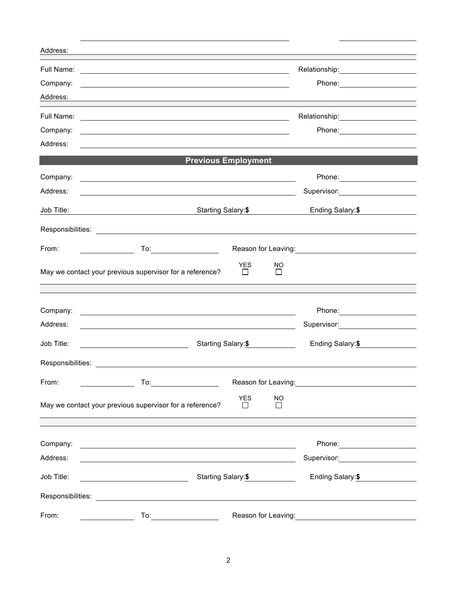| Address:             |                                                                                                                                                                                                                                      |                                        |                                                                                                                 |
|----------------------|--------------------------------------------------------------------------------------------------------------------------------------------------------------------------------------------------------------------------------------|----------------------------------------|-----------------------------------------------------------------------------------------------------------------|
|                      | Full Name: <u>example and the set of the set of the set of the set of the set of the set of the set of the set of the set of the set of the set of the set of the set of the set of the set of the set of the set of the set of </u> |                                        | Relationship: \\square\\square\\square\\square\\square\\square\\square\\square\\square\\square\\square\\square\ |
| Company:             | <u> 1989 - Johann John Stone, markin film yn y brenin y brenin y brenin y brenin y brenin y brenin y brenin y br</u>                                                                                                                 |                                        |                                                                                                                 |
| Address:             |                                                                                                                                                                                                                                      |                                        |                                                                                                                 |
|                      |                                                                                                                                                                                                                                      |                                        |                                                                                                                 |
| Company:             | <u> 1989 - Johann Stoff, deutscher Stoffen und der Stoffen und der Stoffen und der Stoffen und der Stoffen und der</u>                                                                                                               |                                        |                                                                                                                 |
| Address:             |                                                                                                                                                                                                                                      |                                        |                                                                                                                 |
|                      |                                                                                                                                                                                                                                      | <b>Previous Employment</b>             |                                                                                                                 |
| Company:             | <u> 1989 - Johann Stoff, deutscher Stoffen und der Stoffen und der Stoffen und der Stoffen und der Stoffen und der</u>                                                                                                               |                                        |                                                                                                                 |
| Address:             |                                                                                                                                                                                                                                      |                                        | Supervisor: Victor Control of Supervisor Control Control Oriente Control Control Oriente Control Co             |
| Job Title:           | Starting Salary:\$<br><u> 2000 - Andrea Andrew Maria (h. 18</u>                                                                                                                                                                      |                                        | Ending Salary:\$                                                                                                |
|                      |                                                                                                                                                                                                                                      |                                        |                                                                                                                 |
|                      |                                                                                                                                                                                                                                      |                                        |                                                                                                                 |
| From:                |                                                                                                                                                                                                                                      |                                        | Reason for Leaving:<br><u>Neason</u> for Leaving:                                                               |
|                      | May we contact your previous supervisor for a reference?                                                                                                                                                                             | <b>YES</b><br><b>NO</b><br>П<br>$\Box$ |                                                                                                                 |
|                      |                                                                                                                                                                                                                                      |                                        |                                                                                                                 |
|                      |                                                                                                                                                                                                                                      |                                        |                                                                                                                 |
| Company:<br>Address: | <u> 1989 - Johann Stein, fransk politik (d. 1989)</u>                                                                                                                                                                                |                                        | Phone: _____________________<br>Supervisor: Victor Communication Communication                                  |
|                      | <u> 1989 - Johann Barnett, fransk politiker (d. 1989)</u>                                                                                                                                                                            |                                        |                                                                                                                 |
| Job Title:           | <u> 1980 - Johann Barbara, martxa alemani</u>                                                                                                                                                                                        | Starting Salary:\$                     | Ending Salary:\$                                                                                                |
|                      | Responsibilities: <b>Example 2018</b>                                                                                                                                                                                                |                                        |                                                                                                                 |
| From:                |                                                                                                                                                                                                                                      |                                        | Reason for Leaving:<br><u>Neason</u> for Leaving:                                                               |
|                      |                                                                                                                                                                                                                                      | <b>YES</b><br><b>NO</b>                |                                                                                                                 |
|                      | May we contact your previous supervisor for a reference?                                                                                                                                                                             | П<br>$\perp$                           |                                                                                                                 |
|                      |                                                                                                                                                                                                                                      |                                        |                                                                                                                 |
| Company:             | <u> 1980 - Johann Stoff, deutscher Stoffen und der Stoffen und der Stoffen und der Stoffen und der Stoffen und der</u>                                                                                                               |                                        |                                                                                                                 |
| Address:             | <u> 1980 - Johann Barn, mars ann an t-Amhain Aonaich an t-Aonaich an t-Aonaich ann an t-Aonaich ann an t-Aonaich</u>                                                                                                                 |                                        | Supervisor: Victor Contract Contract Contract Contract Contract Contract Contract Contract Contract Contract Co |
| Job Title:           | $\overline{\phantom{a}}$<br>Starting Salary: \$                                                                                                                                                                                      | Ending Salary: \$                      |                                                                                                                 |
|                      |                                                                                                                                                                                                                                      |                                        |                                                                                                                 |
| Responsibilities:    | <u> 1989 - Jan Samuel Barbara, margaret eta idazlea (h. 1989).</u>                                                                                                                                                                   |                                        |                                                                                                                 |
| From:                |                                                                                                                                                                                                                                      |                                        |                                                                                                                 |